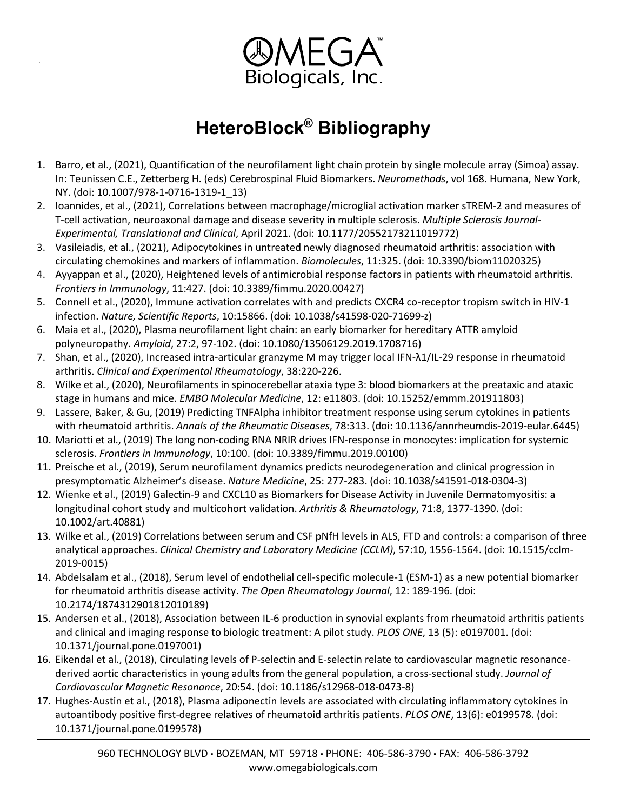

- 1. Barro, et al., (2021), Quantification of the neurofilament light chain protein by single molecule array (Simoa) assay. In: Teunissen C.E., Zetterberg H. (eds) Cerebrospinal Fluid Biomarkers. *Neuromethods*, vol 168. Humana, New York, NY. (doi: 10.1007/978-1-0716-1319-1\_13)
- 2. Ioannides, et al., (2021), Correlations between macrophage/microglial activation marker sTREM-2 and measures of T-cell activation, neuroaxonal damage and disease severity in multiple sclerosis. *Multiple Sclerosis Journal-Experimental, Translational and Clinical*, April 2021. (doi: 10.1177/20552173211019772)
- 3. Vasileiadis, et al., (2021), Adipocytokines in untreated newly diagnosed rheumatoid arthritis: association with circulating chemokines and markers of inflammation. *Biomolecules*, 11:325. (doi: 10.3390/biom11020325)
- 4. Ayyappan et al., (2020), Heightened levels of antimicrobial response factors in patients with rheumatoid arthritis. *Frontiers in Immunology*, 11:427. (doi: 10.3389/fimmu.2020.00427)
- 5. Connell et al., (2020), Immune activation correlates with and predicts CXCR4 co-receptor tropism switch in HIV-1 infection. *Nature, Scientific Reports*, 10:15866. (doi: 10.1038/s41598-020-71699-z)
- 6. Maia et al., (2020), Plasma neurofilament light chain: an early biomarker for hereditary ATTR amyloid polyneuropathy. *Amyloid*, 27:2, 97-102. (doi: 10.1080/13506129.2019.1708716)
- 7. Shan, et al., (2020), Increased intra-articular granzyme M may trigger local IFN-λ1/IL-29 response in rheumatoid arthritis. *Clinical and Experimental Rheumatology*, 38:220-226.
- 8. Wilke et al., (2020), Neurofilaments in spinocerebellar ataxia type 3: blood biomarkers at the preataxic and ataxic stage in humans and mice. *EMBO Molecular Medicine*, 12: e11803. (doi: 10.15252/emmm.201911803)
- 9. Lassere, Baker, & Gu, (2019) Predicting TNFAlpha inhibitor treatment response using serum cytokines in patients with rheumatoid arthritis. *Annals of the Rheumatic Diseases*, 78:313. (doi: 10.1136/annrheumdis-2019-eular.6445)
- 10. Mariotti et al., (2019) The long non-coding RNA NRIR drives IFN-response in monocytes: implication for systemic sclerosis. *Frontiers in Immunology*, 10:100. (doi: 10.3389/fimmu.2019.00100)
- 11. Preische et al., (2019), Serum neurofilament dynamics predicts neurodegeneration and clinical progression in presymptomatic Alzheimer's disease. *Nature Medicine*, 25: 277-283. (doi: 10.1038/s41591-018-0304-3)
- 12. Wienke et al., (2019) Galectin-9 and CXCL10 as Biomarkers for Disease Activity in Juvenile Dermatomyositis: a longitudinal cohort study and multicohort validation. *Arthritis & Rheumatology*, 71:8, 1377-1390. (doi: 10.1002/art.40881)
- 13. Wilke et al., (2019) Correlations between serum and CSF pNfH levels in ALS, FTD and controls: a comparison of three analytical approaches. *Clinical Chemistry and Laboratory Medicine (CCLM)*, 57:10, 1556-1564. (doi: 10.1515/cclm-2019-0015)
- 14. Abdelsalam et al., (2018), Serum level of endothelial cell-specific molecule-1 (ESM-1) as a new potential biomarker for rheumatoid arthritis disease activity. *The Open Rheumatology Journal*, 12: 189-196. (doi: 10.2174/1874312901812010189)
- 15. Andersen et al., (2018), Association between IL-6 production in synovial explants from rheumatoid arthritis patients and clinical and imaging response to biologic treatment: A pilot study. *PLOS ONE*, 13 (5): e0197001. (doi: 10.1371/journal.pone.0197001)
- 16. Eikendal et al., (2018), Circulating levels of P-selectin and E-selectin relate to cardiovascular magnetic resonancederived aortic characteristics in young adults from the general population, a cross-sectional study. *Journal of Cardiovascular Magnetic Resonance*, 20:54. (doi: 10.1186/s12968-018-0473-8)
- 17. Hughes-Austin et al., (2018), Plasma adiponectin levels are associated with circulating inflammatory cytokines in autoantibody positive first-degree relatives of rheumatoid arthritis patients. *PLOS ONE*, 13(6): e0199578. (doi: 10.1371/journal.pone.0199578)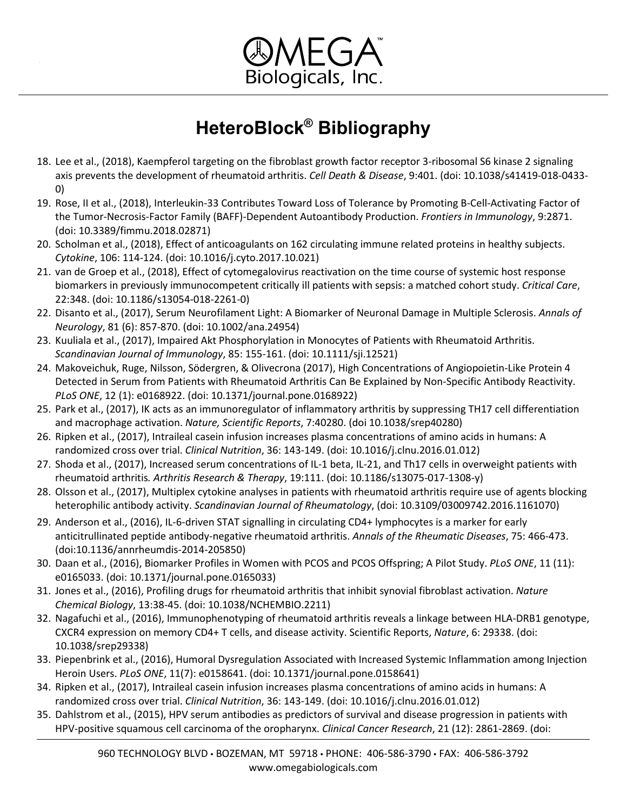

- 18. Lee et al., (2018), Kaempferol targeting on the fibroblast growth factor receptor 3-ribosomal S6 kinase 2 signaling axis prevents the development of rheumatoid arthritis. *Cell Death & Disease*, 9:401. (doi: 10.1038/s41419-018-0433- 0)
- 19. Rose, II et al., (2018), Interleukin-33 Contributes Toward Loss of Tolerance by Promoting B-Cell-Activating Factor of the Tumor-Necrosis-Factor Family (BAFF)-Dependent Autoantibody Production. *Frontiers in Immunology*, 9:2871. (doi: 10.3389/fimmu.2018.02871)
- 20. Scholman et al., (2018), Effect of anticoagulants on 162 circulating immune related proteins in healthy subjects. *Cytokine*, 106: 114-124. (doi: 10.1016/j.cyto.2017.10.021)
- 21. van de Groep et al., (2018), Effect of cytomegalovirus reactivation on the time course of systemic host response biomarkers in previously immunocompetent critically ill patients with sepsis: a matched cohort study. *Critical Care*, 22:348. (doi: 10.1186/s13054-018-2261-0)
- 22. Disanto et al., (2017), Serum Neurofilament Light: A Biomarker of Neuronal Damage in Multiple Sclerosis. *Annals of Neurology*, 81 (6): 857-870. (doi: 10.1002/ana.24954)
- 23. Kuuliala et al., (2017), Impaired Akt Phosphorylation in Monocytes of Patients with Rheumatoid Arthritis. *Scandinavian Journal of Immunology*, 85: 155-161. (doi: 10.1111/sji.12521)
- 24. Makoveichuk, Ruge, Nilsson, Södergren, & Olivecrona (2017), High Concentrations of Angiopoietin-Like Protein 4 Detected in Serum from Patients with Rheumatoid Arthritis Can Be Explained by Non-Specific Antibody Reactivity. *PLoS ONE*, 12 (1): e0168922. (doi: 10.1371/journal.pone.0168922)
- 25. Park et al., (2017), IK acts as an immunoregulator of inflammatory arthritis by suppressing TH17 cell differentiation and macrophage activation. *Nature, Scientific Reports*, 7:40280. (doi 10.1038/srep40280)
- 26. Ripken et al., (2017), Intraileal casein infusion increases plasma concentrations of amino acids in humans: A randomized cross over trial. *Clinical Nutrition*, 36: 143-149. (doi: 10.1016/j.clnu.2016.01.012)
- 27. Shoda et al., (2017), Increased serum concentrations of IL-1 beta, IL-21, and Th17 cells in overweight patients with rheumatoid arthritis*. Arthritis Research & Therapy*, 19:111. (doi: 10.1186/s13075-017-1308-y)
- 28. Olsson et al., (2017), Multiplex cytokine analyses in patients with rheumatoid arthritis require use of agents blocking heterophilic antibody activity. *Scandinavian Journal of Rheumatology*, (doi: 10.3109/03009742.2016.1161070)
- 29. Anderson et al., (2016), IL-6-driven STAT signalling in circulating CD4+ lymphocytes is a marker for early anticitrullinated peptide antibody-negative rheumatoid arthritis. *Annals of the Rheumatic Diseases*, 75: 466-473. (doi:10.1136/annrheumdis-2014-205850)
- 30. Daan et al., (2016), Biomarker Profiles in Women with PCOS and PCOS Offspring; A Pilot Study. *PLoS ONE*, 11 (11): e0165033. (doi: 10.1371/journal.pone.0165033)
- 31. Jones et al., (2016), Profiling drugs for rheumatoid arthritis that inhibit synovial fibroblast activation. *Nature Chemical Biology*, 13:38-45. (doi: 10.1038/NCHEMBIO.2211)
- 32. Nagafuchi et al., (2016), Immunophenotyping of rheumatoid arthritis reveals a linkage between HLA-DRB1 genotype, CXCR4 expression on memory CD4+ T cells, and disease activity. Scientific Reports, *Nature*, 6: 29338. (doi: 10.1038/srep29338)
- 33. Piepenbrink et al., (2016), Humoral Dysregulation Associated with Increased Systemic Inflammation among Injection Heroin Users. *PLoS ONE*, 11(7): e0158641. (doi: 10.1371/journal.pone.0158641)
- 34. Ripken et al., (2017), Intraileal casein infusion increases plasma concentrations of amino acids in humans: A randomized cross over trial. *Clinical Nutrition*, 36: 143-149. (doi: 10.1016/j.clnu.2016.01.012)
- 35. Dahlstrom et al., (2015), HPV serum antibodies as predictors of survival and disease progression in patients with HPV-positive squamous cell carcinoma of the oropharynx. *Clinical Cancer Research*, 21 (12): 2861-2869. (doi: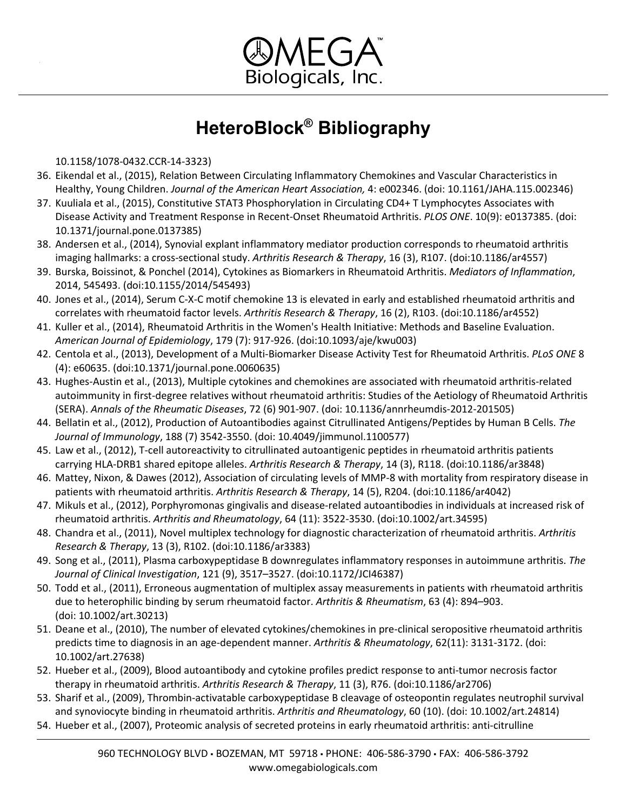

10.1158/1078-0432.CCR-14-3323)

- 36. Eikendal et al., (2015), Relation Between Circulating Inflammatory Chemokines and Vascular Characteristics in Healthy, Young Children. *Journal of the American Heart Association,* 4: e002346. (doi: 10.1161/JAHA.115.002346)
- 37. Kuuliala et al., (2015), Constitutive STAT3 Phosphorylation in Circulating CD4+ T Lymphocytes Associates with Disease Activity and Treatment Response in Recent-Onset Rheumatoid Arthritis. *PLOS ONE*. 10(9): e0137385. (doi: 10.1371/journal.pone.0137385)
- 38. Andersen et al., (2014), Synovial explant inflammatory mediator production corresponds to rheumatoid arthritis imaging hallmarks: a cross-sectional study. *Arthritis Research & Therapy*, 16 (3), R107. (doi:10.1186/ar4557)
- 39. Burska, Boissinot, & Ponchel (2014), Cytokines as Biomarkers in Rheumatoid Arthritis. *Mediators of Inflammation*, 2014, 545493. (doi:10.1155/2014/545493)
- 40. Jones et al., (2014), Serum C-X-C motif chemokine 13 is elevated in early and established rheumatoid arthritis and correlates with rheumatoid factor levels. *Arthritis Research & Therapy*, 16 (2), R103. (doi:10.1186/ar4552)
- 41. Kuller et al., (2014), Rheumatoid Arthritis in the Women's Health Initiative: Methods and Baseline Evaluation. *American Journal of Epidemiology*, 179 (7): 917-926. (doi:10.1093/aje/kwu003)
- 42. Centola et al., (2013), Development of a Multi-Biomarker Disease Activity Test for Rheumatoid Arthritis. *PLoS ONE* 8 (4): e60635. (doi:10.1371/journal.pone.0060635)
- 43. Hughes-Austin et al., (2013), Multiple cytokines and chemokines are associated with rheumatoid arthritis-related autoimmunity in first-degree relatives without rheumatoid arthritis: Studies of the Aetiology of Rheumatoid Arthritis (SERA). *Annals of the Rheumatic Diseases*, 72 (6) 901-907. (doi: 10.1136/annrheumdis-2012-201505)
- 44. Bellatin et al., (2012), Production of Autoantibodies against Citrullinated Antigens/Peptides by Human B Cells. *The Journal of Immunology*, 188 (7) 3542-3550. (doi: 10.4049/jimmunol.1100577)
- 45. Law et al., (2012), T-cell autoreactivity to citrullinated autoantigenic peptides in rheumatoid arthritis patients carrying HLA-DRB1 shared epitope alleles. *Arthritis Research & Therapy*, 14 (3), R118. (doi:10.1186/ar3848)
- 46. Mattey, Nixon, & Dawes (2012), Association of circulating levels of MMP-8 with mortality from respiratory disease in patients with rheumatoid arthritis. *Arthritis Research & Therapy*, 14 (5), R204. (doi:10.1186/ar4042)
- 47. Mikuls et al., (2012), Porphyromonas gingivalis and disease-related autoantibodies in individuals at increased risk of rheumatoid arthritis. *Arthritis and Rheumatology*, 64 (11): 3522-3530. (doi:10.1002/art.34595)
- 48. Chandra et al., (2011), Novel multiplex technology for diagnostic characterization of rheumatoid arthritis. *Arthritis Research & Therapy*, 13 (3), R102. (doi:10.1186/ar3383)
- 49. Song et al., (2011), Plasma carboxypeptidase B downregulates inflammatory responses in autoimmune arthritis. *The Journal of Clinical Investigation*, 121 (9), 3517–3527. (doi:10.1172/JCI46387)
- 50. Todd et al., (2011), Erroneous augmentation of multiplex assay measurements in patients with rheumatoid arthritis due to heterophilic binding by serum rheumatoid factor. *Arthritis & Rheumatism*, 63 (4): 894–903. (doi: 10.1002/art.30213)
- 51. Deane et al., (2010), The number of elevated cytokines/chemokines in pre-clinical seropositive rheumatoid arthritis predicts time to diagnosis in an age-dependent manner. *Arthritis & Rheumatology*, 62(11): 3131-3172. (doi: 10.1002/art.27638)
- 52. Hueber et al., (2009), Blood autoantibody and cytokine profiles predict response to anti-tumor necrosis factor therapy in rheumatoid arthritis. *Arthritis Research & Therapy*, 11 (3), R76. (doi:10.1186/ar2706)
- 53. Sharif et al., (2009), Thrombin-activatable carboxypeptidase B cleavage of osteopontin regulates neutrophil survival and synoviocyte binding in rheumatoid arthritis. *Arthritis and Rheumatology*, 60 (10). (doi: 10.1002/art.24814)
- 54. Hueber et al., (2007), Proteomic analysis of secreted proteins in early rheumatoid arthritis: anti-citrulline